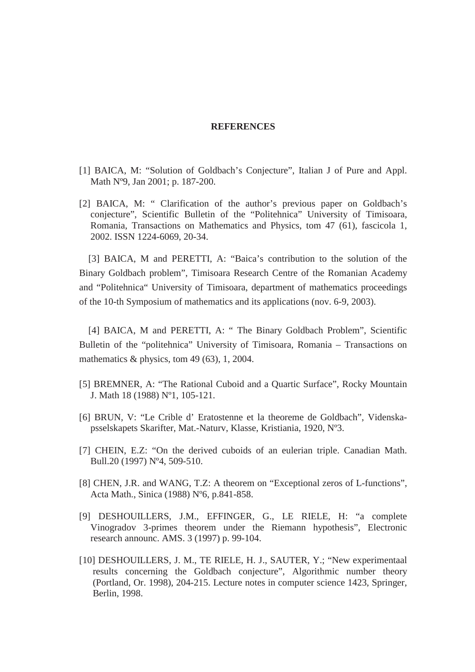## **REFERENCES**

- [1] BAICA, M: "Solution of Goldbach's Conjecture", Italian J of Pure and Appl. Math Nº9, Jan 2001; p. 187-200.
- [2] BAICA, M: " Clarification of the author's previous paper on Goldbach's conjecture", Scientific Bulletin of the "Politehnica" University of Timisoara, Romania, Transactions on Mathematics and Physics, tom 47 (61), fascicola 1, 2002. ISSN 1224-6069, 20-34.

[3] BAICA, M and PERETTI, A: "Baica's contribution to the solution of the Binary Goldbach problem", Timisoara Research Centre of the Romanian Academy and "Politehnica" University of Timisoara, department of mathematics proceedings of the 10-th Symposium of mathematics and its applications (nov. 6-9, 2003).

[4] BAICA, M and PERETTI, A: " The Binary Goldbach Problem", Scientific Bulletin of the "politehnica" University of Timisoara, Romania – Transactions on mathematics & physics, tom 49 (63), 1, 2004.

- [5] BREMNER, A: "The Rational Cuboid and a Quartic Surface", Rocky Mountain J. Math 18 (1988) Nº1, 105-121.
- [6] BRUN, V: "Le Crible d' Eratostenne et la theoreme de Goldbach", Videnskapsselskapets Skarifter, Mat.-Naturv, Klasse, Kristiania, 1920, Nº3.
- [7] CHEIN, E.Z: "On the derived cuboids of an eulerian triple. Canadian Math. Bull.20 (1997) Nº4, 509-510.
- [8] CHEN, J.R. and WANG, T.Z: A theorem on "Exceptional zeros of L-functions", Acta Math., Sinica (1988) Nº6, p.841-858.
- [9] DESHOUILLERS, J.M., EFFINGER, G., LE RIELE, H: "a complete Vinogradov 3-primes theorem under the Riemann hypothesis", Electronic research announc. AMS. 3 (1997) p. 99-104.
- [10] DESHOUILLERS, J. M., TE RIELE, H. J., SAUTER, Y.; "New experimentaal results concerning the Goldbach conjecture", Algorithmic number theory (Portland, Or. 1998), 204-215. Lecture notes in computer science 1423, Springer, Berlin, 1998.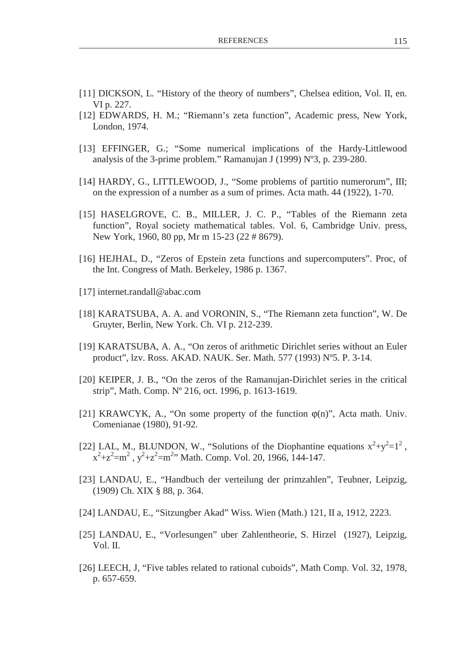- [11] DICKSON, L. "History of the theory of numbers", Chelsea edition, Vol. II, en. VI p. 227.
- [12] EDWARDS, H. M.; "Riemann's zeta function", Academic press, New York, London, 1974.
- [13] EFFINGER, G.; "Some numerical implications of the Hardy-Littlewood analysis of the 3-prime problem." Ramanujan J (1999) Nº3, p. 239-280.
- [14] HARDY, G., LITTLEWOOD, J., "Some problems of partitio numerorum", III; on the expression of a number as a sum of primes. Acta math. 44 (1922), 1-70.
- [15] HASELGROVE, C. B., MILLER, J. C. P., "Tables of the Riemann zeta function", Royal society mathematical tables. Vol. 6, Cambridge Univ. press, New York, 1960, 80 pp, Mr m 15-23 (22 # 8679).
- [16] HEJHAL, D., "Zeros of Epstein zeta functions and supercomputers". Proc, of the Int. Congress of Math. Berkeley, 1986 p. 1367.
- [17] internet.randall@abac.com
- [18] KARATSUBA, A. A. and VORONIN, S., "The Riemann zeta function", W. De Gruyter, Berlin, New York. Ch. VI p. 212-239.
- [19] KARATSUBA, A. A., "On zeros of arithmetic Dirichlet series without an Euler product", lzv. Ross. AKAD. NAUK. Ser. Math. 577 (1993) Nº5. P. 3-14.
- [20] KEIPER, J. B., "On the zeros of the Ramanujan-Dirichlet series in the critical strip", Math. Comp. Nº 216, oct. 1996, p. 1613-1619.
- [21] KRAWCYK, A., "On some property of the function  $\varphi(n)$ ", Acta math. Univ. Comenianae (1980), 91-92.
- [22] LAL, M., BLUNDON, W., "Solutions of the Diophantine equations  $x^2+y^2=1^2$ ,  $x^2+z^2=m^2$ ,  $y^2+z^2=m^2$ . Math. Comp. Vol. 20, 1966, 144-147.
- [23] LANDAU, E., "Handbuch der verteilung der primzahlen", Teubner, Leipzig, (1909) Ch. XIX § 88, p. 364.
- [24] LANDAU, E., "Sitzungber Akad" Wiss. Wien (Math.) 121, II a, 1912, 2223.
- [25] LANDAU, E., "Vorlesungen" uber Zahlentheorie, S. Hirzel (1927), Leipzig, Vol. II.
- [26] LEECH, J, "Five tables related to rational cuboids", Math Comp. Vol. 32, 1978, p. 657-659.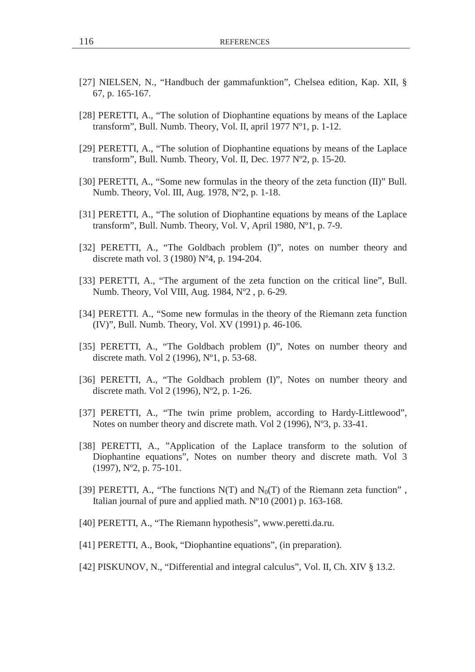- [27] NIELSEN, N., "Handbuch der gammafunktion", Chelsea edition, Kap. XII, § 67, p. 165-167.
- [28] PERETTI, A., "The solution of Diophantine equations by means of the Laplace transform", Bull. Numb. Theory, Vol. II, april 1977 Nº1, p. 1-12.
- [29] PERETTI, A., "The solution of Diophantine equations by means of the Laplace transform", Bull. Numb. Theory, Vol. II, Dec. 1977 Nº2, p. 15-20.
- [30] PERETTI, A., "Some new formulas in the theory of the zeta function (II)" Bull. Numb. Theory, Vol. III, Aug. 1978, Nº2, p. 1-18.
- [31] PERETTI, A., "The solution of Diophantine equations by means of the Laplace transform", Bull. Numb. Theory, Vol. V, April 1980, Nº1, p. 7-9.
- [32] PERETTI, A., "The Goldbach problem (I)", notes on number theory and discrete math vol. 3 (1980) Nº4, p. 194-204.
- [33] PERETTI, A., "The argument of the zeta function on the critical line", Bull. Numb. Theory, Vol VIII, Aug. 1984, Nº2 , p. 6-29.
- [34] PERETTI. A., "Some new formulas in the theory of the Riemann zeta function (IV)", Bull. Numb. Theory, Vol. XV (1991) p. 46-106.
- [35] PERETTI, A., "The Goldbach problem (I)", Notes on number theory and discrete math. Vol 2 (1996), Nº1, p. 53-68.
- [36] PERETTI, A., "The Goldbach problem (I)", Notes on number theory and discrete math. Vol 2 (1996), Nº2, p. 1-26.
- [37] PERETTI, A., "The twin prime problem, according to Hardy-Littlewood", Notes on number theory and discrete math. Vol 2 (1996), Nº3, p. 33-41.
- [38] PERETTI, A., "Application of the Laplace transform to the solution of Diophantine equations", Notes on number theory and discrete math. Vol 3 (1997), Nº2, p. 75-101.
- [39] PERETTI, A., "The functions  $N(T)$  and  $N_0(T)$  of the Riemann zeta function", Italian journal of pure and applied math. Nº10 (2001) p. 163-168.
- [40] PERETTI, A., "The Riemann hypothesis", www.peretti.da.ru.
- [41] PERETTI, A., Book, "Diophantine equations", (in preparation).
- [42] PISKUNOV, N., "Differential and integral calculus", Vol. II, Ch. XIV § 13.2.